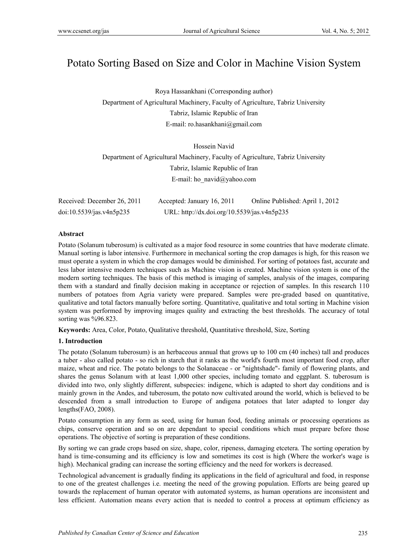# Potato Sorting Based on Size and Color in Machine Vision System

Roya Hassankhani (Corresponding author) Department of Agricultural Machinery, Faculty of Agriculture, Tabriz University Tabriz, Islamic Republic of Iran E-mail: ro.hasankhani@gmail.com

Hossein Navid Department of Agricultural Machinery, Faculty of Agriculture, Tabriz University Tabriz, Islamic Republic of Iran E-mail: ho\_navid@yahoo.com

| Received: December 26, 2011 | Accepted: January 16, 2011                  | Online Published: April 1, 2012 |
|-----------------------------|---------------------------------------------|---------------------------------|
| doi:10.5539/jas.v4n5p235    | URL: http://dx.doi.org/10.5539/jas.v4n5p235 |                                 |

#### **Abstract**

Potato (Solanum tuberosum) is cultivated as a major food resource in some countries that have moderate climate. Manual sorting is labor intensive. Furthermore in mechanical sorting the crop damages is high, for this reason we must operate a system in which the crop damages would be diminished. For sorting of potatoes fast, accurate and less labor intensive modern techniques such as Machine vision is created. Machine vision system is one of the modern sorting techniques. The basis of this method is imaging of samples, analysis of the images, comparing them with a standard and finally decision making in acceptance or rejection of samples. In this research 110 numbers of potatoes from Agria variety were prepared. Samples were pre-graded based on quantitative, qualitative and total factors manually before sorting. Quantitative, qualitative and total sorting in Machine vision system was performed by improving images quality and extracting the best thresholds. The accuracy of total sorting was %96.823.

**Keywords:** Area, Color, Potato, Qualitative threshold, Quantitative threshold, Size, Sorting

#### **1. Introduction**

The potato (Solanum tuberosum) is an herbaceous annual that grows up to 100 cm (40 inches) tall and produces a tuber - also called potato - so rich in starch that it ranks as the world's fourth most important food crop, after maize, wheat and rice. The potato belongs to the Solanaceae - or "nightshade"- family of flowering plants, and shares the genus Solanum with at least 1,000 other species, including tomato and eggplant. S. tuberosum is divided into two, only slightly different, subspecies: indigene, which is adapted to short day conditions and is mainly grown in the Andes, and tuberosum, the potato now cultivated around the world, which is believed to be descended from a small introduction to Europe of andigena potatoes that later adapted to longer day lengths(FAO, 2008).

Potato consumption in any form as seed, using for human food, feeding animals or processing operations as chips, conserve operation and so on are dependant to special conditions which must prepare before those operations. The objective of sorting is preparation of these conditions.

By sorting we can grade crops based on size, shape, color, ripeness, damaging etcetera. The sorting operation by hand is time-consuming and its efficiency is low and sometimes its cost is high (Where the worker's wage is high). Mechanical grading can increase the sorting efficiency and the need for workers is decreased.

Technological advancement is gradually finding its applications in the field of agricultural and food, in response to one of the greatest challenges i.e. meeting the need of the growing population. Efforts are being geared up towards the replacement of human operator with automated systems, as human operations are inconsistent and less efficient. Automation means every action that is needed to control a process at optimum efficiency as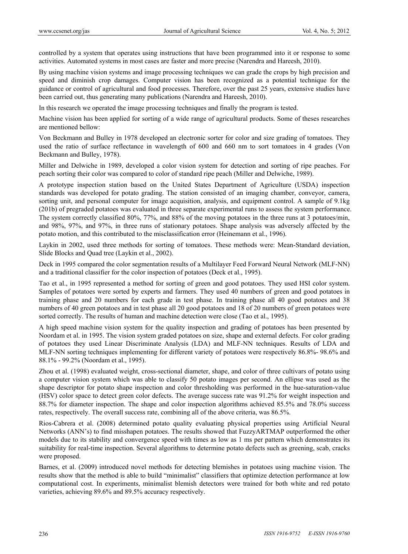controlled by a system that operates using instructions that have been programmed into it or response to some activities. Automated systems in most cases are faster and more precise (Narendra and Hareesh, 2010).

By using machine vision systems and image processing techniques we can grade the crops by high precision and speed and diminish crop damages. Computer vision has been recognized as a potential technique for the guidance or control of agricultural and food processes. Therefore, over the past 25 years, extensive studies have been carried out, thus generating many publications (Narendra and Hareesh, 2010).

In this research we operated the image processing techniques and finally the program is tested.

Machine vision has been applied for sorting of a wide range of agricultural products. Some of theses researches are mentioned bellow:

Von Beckmann and Bulley in 1978 developed an electronic sorter for color and size grading of tomatoes. They used the ratio of surface reflectance in wavelength of 600 and 660 nm to sort tomatoes in 4 grades (Von Beckmann and Bulley, 1978).

Miller and Delwiche in 1989, developed a color vision system for detection and sorting of ripe peaches. For peach sorting their color was compared to color of standard ripe peach (Miller and Delwiche, 1989).

A prototype inspection station based on the United States Department of Agriculture (USDA) inspection standards was developed for potato grading. The station consisted of an imaging chamber, conveyor, camera, sorting unit, and personal computer for image acquisition, analysis, and equipment control. A sample of 9.1kg (201b) of pregraded potatoes was evaluated in three separate experimental runs to assess the system performance. The system correctly classified 80%, 77%, and 88% of the moving potatoes in the three runs at 3 potatoes/min, and 98%, 97%, and 97%, in three runs of stationary potatoes. Shape analysis was adversely affected by the potato motion, and this contributed to the misclassification error (Heinemann et al., 1996).

Laykin in 2002, used three methods for sorting of tomatoes. These methods were: Mean-Standard deviation, Slide Blocks and Quad tree (Laykin et al., 2002).

Deck in 1995 compared the color segmentation results of a Multilayer Feed Forward Neural Network (MLF-NN) and a traditional classifier for the color inspection of potatoes (Deck et al., 1995).

Tao et al., in 1995 represented a method for sorting of green and good potatoes. They used HSI color system. Samples of potatoes were sorted by experts and farmers. They used 40 numbers of green and good potatoes in training phase and 20 numbers for each grade in test phase. In training phase all 40 good potatoes and 38 numbers of 40 green potatoes and in test phase all 20 good potatoes and 18 of 20 numbers of green potatoes were sorted correctly. The results of human and machine detection were close (Tao et al., 1995).

A high speed machine vision system for the quality inspection and grading of potatoes has been presented by Noordam et al. in 1995. The vision system graded potatoes on size, shape and external defects. For color grading of potatoes they used Linear Discriminate Analysis (LDA) and MLF-NN techniques. Results of LDA and MLF-NN sorting techniques implementing for different variety of potatoes were respectively 86.8%- 98.6% and 88.1% - 99.2% (Noordam et al., 1995).

Zhou et al. (1998) evaluated weight, cross-sectional diameter, shape, and color of three cultivars of potato using a computer vision system which was able to classify 50 potato images per second. An ellipse was used as the shape descriptor for potato shape inspection and color thresholding was performed in the hue-saturation-value (HSV) color space to detect green color defects. The average success rate was 91.2% for weight inspection and 88.7% for diameter inspection. The shape and color inspection algorithms achieved 85.5% and 78.0% success rates, respectively. The overall success rate, combining all of the above criteria, was 86.5%.

Rios-Cabrera et al. (2008) determined potato quality evaluating physical properties using Artificial Neural Networks (ANN's) to find misshapen potatoes. The results showed that FuzzyARTMAP outperformed the other models due to its stability and convergence speed with times as low as 1 ms per pattern which demonstrates its suitability for real-time inspection. Several algorithms to determine potato defects such as greening, scab, cracks were proposed.

Barnes, et al. (2009) introduced novel methods for detecting blemishes in potatoes using machine vision. The results show that the method is able to build "minimalist" classifiers that optimize detection performance at low computational cost. In experiments, minimalist blemish detectors were trained for both white and red potato varieties, achieving 89.6% and 89.5% accuracy respectively.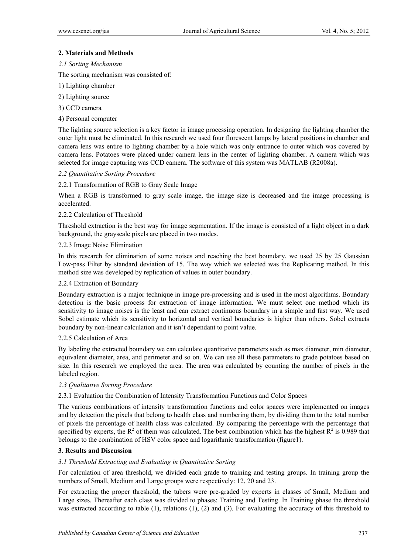## **2. Materials and Methods**

*2.1 Sorting Mechanism* 

The sorting mechanism was consisted of:

- 1) Lighting chamber
- 2) Lighting source
- 3) CCD camera
- 4) Personal computer

The lighting source selection is a key factor in image processing operation. In designing the lighting chamber the outer light must be eliminated. In this research we used four florescent lamps by lateral positions in chamber and camera lens was entire to lighting chamber by a hole which was only entrance to outer which was covered by camera lens. Potatoes were placed under camera lens in the center of lighting chamber. A camera which was selected for image capturing was CCD camera. The software of this system was MATLAB (R2008a).

#### *2.2 Quantitative Sorting Procedure*

## 2.2.1 Transformation of RGB to Gray Scale Image

When a RGB is transformed to gray scale image, the image size is decreased and the image processing is accelerated.

## 2.2.2 Calculation of Threshold

Threshold extraction is the best way for image segmentation. If the image is consisted of a light object in a dark background, the grayscale pixels are placed in two modes.

## 2.2.3 Image Noise Elimination

In this research for elimination of some noises and reaching the best boundary, we used 25 by 25 Gaussian Low-pass Filter by standard deviation of 15. The way which we selected was the Replicating method. In this method size was developed by replication of values in outer boundary.

#### 2.2.4 Extraction of Boundary

Boundary extraction is a major technique in image pre-processing and is used in the most algorithms. Boundary detection is the basic process for extraction of image information. We must select one method which its sensitivity to image noises is the least and can extract continuous boundary in a simple and fast way. We used Sobel estimate which its sensitivity to horizontal and vertical boundaries is higher than others. Sobel extracts boundary by non-linear calculation and it isn't dependant to point value.

#### 2.2.5 Calculation of Area

By labeling the extracted boundary we can calculate quantitative parameters such as max diameter, min diameter, equivalent diameter, area, and perimeter and so on. We can use all these parameters to grade potatoes based on size. In this research we employed the area. The area was calculated by counting the number of pixels in the labeled region.

#### *2.3 Qualitative Sorting Procedure*

#### 2.3.1 Evaluation the Combination of Intensity Transformation Functions and Color Spaces

The various combinations of intensity transformation functions and color spaces were implemented on images and by detection the pixels that belong to health class and numbering them, by dividing them to the total number of pixels the percentage of health class was calculated. By comparing the percentage with the percentage that specified by experts, the  $R^2$  of them was calculated. The best combination which has the highest  $R^2$  is 0.989 that belongs to the combination of HSV color space and logarithmic transformation (figure1).

#### **3. Results and Discussion**

## *3.1 Threshold Extracting and Evaluating in Quantitative Sorting*

For calculation of area threshold, we divided each grade to training and testing groups. In training group the numbers of Small, Medium and Large groups were respectively: 12, 20 and 23.

For extracting the proper threshold, the tubers were pre-graded by experts in classes of Small, Medium and Large sizes. Thereafter each class was divided to phases: Training and Testing. In Training phase the threshold was extracted according to table (1), relations (1), (2) and (3). For evaluating the accuracy of this threshold to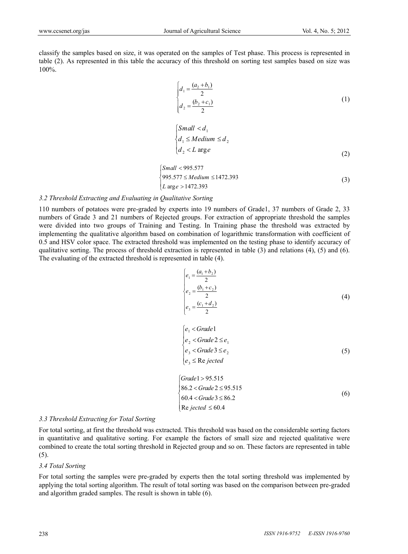classify the samples based on size, it was operated on the samples of Test phase. This process is represented in table (2). As represented in this table the accuracy of this threshold on sorting test samples based on size was 100%.

$$
\begin{cases}\n d_1 = \frac{(a_2 + b_1)}{2} \\
 d_2 = \frac{(b_2 + c_1)}{2}\n\end{cases}
$$
\n(1)

$$
\begin{cases}\nSmall < d_1 \\
d_1 \leq Medium \leq d_2 \\
d_2 < L \text{ arg } e\n\end{cases}
$$
\n
$$
(2)
$$

$$
\begin{cases}\nSmall < 995.577 \\
995.577 \le \text{Medium} \le 1472.393 \\
L \text{ arg } e > 1472.393\n\end{cases} \tag{3}
$$

## *3.2 Threshold Extracting and Evaluating in Qualitative Sorting*

110 numbers of potatoes were pre-graded by experts into 19 numbers of Grade1, 37 numbers of Grade 2, 33 numbers of Grade 3 and 21 numbers of Rejected groups. For extraction of appropriate threshold the samples were divided into two groups of Training and Testing. In Training phase the threshold was extracted by implementing the qualitative algorithm based on combination of logarithmic transformation with coefficient of 0.5 and HSV color space. The extracted threshold was implemented on the testing phase to identify accuracy of qualitative sorting. The process of threshold extraction is represented in table (3) and relations (4), (5) and (6). The evaluating of the extracted threshold is represented in table (4).

$$
\begin{cases}\n e_1 = \frac{(a_1 + b_2)}{2} \\
 e_2 = \frac{(b_1 + c_2)}{2} \\
 e_3 = \frac{(c_1 + d_2)}{2}\n\end{cases}
$$
\n(4)

$$
\begin{cases}\ne_1 < Grade1 \\
e_2 < Grade2 \le e_1 \\
e_3 < Grade3 \le e_2 \\
e_3 \le \text{Re } jected\n\end{cases} \tag{5}
$$

$$
\begin{cases}\nGrade 1 > 95.515 \\
86.2 < Grade 2 \le 95.515 \\
60.4 < Grade 3 \le 86.2 \\
Re jected \le 60.4\n\end{cases} \tag{6}
$$

#### *3.3 Threshold Extracting for Total Sorting*

For total sorting, at first the threshold was extracted. This threshold was based on the considerable sorting factors in quantitative and qualitative sorting. For example the factors of small size and rejected qualitative were combined to create the total sorting threshold in Rejected group and so on. These factors are represented in table (5).

#### *3.4 Total Sorting*

For total sorting the samples were pre-graded by experts then the total sorting threshold was implemented by applying the total sorting algorithm. The result of total sorting was based on the comparison between pre-graded and algorithm graded samples. The result is shown in table (6).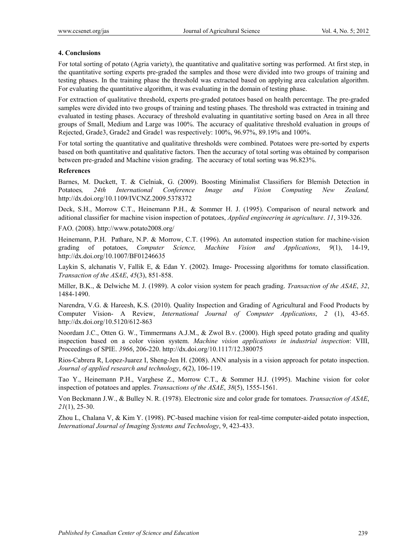### **4. Conclusions**

For total sorting of potato (Agria variety), the quantitative and qualitative sorting was performed. At first step, in the quantitative sorting experts pre-graded the samples and those were divided into two groups of training and testing phases. In the training phase the threshold was extracted based on applying area calculation algorithm. For evaluating the quantitative algorithm, it was evaluating in the domain of testing phase.

For extraction of qualitative threshold, experts pre-graded potatoes based on health percentage. The pre-graded samples were divided into two groups of training and testing phases. The threshold was extracted in training and evaluated in testing phases. Accuracy of threshold evaluating in quantitative sorting based on Area in all three groups of Small, Medium and Large was 100%. The accuracy of qualitative threshold evaluation in groups of Rejected, Grade3, Grade2 and Grade1 was respectively: 100%, 96.97%, 89.19% and 100%.

For total sorting the quantitative and qualitative thresholds were combined. Potatoes were pre-sorted by experts based on both quantitative and qualitative factors. Then the accuracy of total sorting was obtained by comparison between pre-graded and Machine vision grading. The accuracy of total sorting was 96.823%.

#### **References**

Barnes, M. Duckett, T. & Cielniak, G. (2009). Boosting Minimalist Classifiers for Blemish Detection in Potatoes*, 24th International Conference Image and Vision Computing New Zealand,*  http://dx.doi.org/10.1109/IVCNZ.2009.5378372

Deck, S.H., Morrow C.T., Heinemann P.H., & Sommer H. J. (1995). Comparison of neural network and aditional classifier for machine vision inspection of potatoes, *Applied engineering in agriculture*. *11*, 319-326.

FAO. (2008). http://www.potato2008.org/

Heinemann, P.H. Pathare, N.P. & Morrow, C.T. (1996). An automated inspection station for machine-vision grading of potatoes, *Computer Science, Machine Vision and Applications*, *9*(1), 14-19, http://dx.doi.org/10.1007/BF01246635

Laykin S, alchanatis V, Fallik E, & Edan Y. (2002). Image- Processing algorithms for tomato classification. *Transaction of the ASAE*, *45*(3), 851-858.

Miller, B.K., & Delwiche M. J. (1989). A color vision system for peach grading. *Transaction of the ASAE*, *32*, 1484-1490.

Narendra, V.G. & Hareesh, K.S. (2010). Quality Inspection and Grading of Agricultural and Food Products by Computer Vision- A Review, *International Journal of Computer Applications*, *2* (1), 43-65. http://dx.doi.org/10.5120/612-863

Noordam J.C., Otten G. W., Timmermans A.J.M., & Zwol B.v. (2000). High speed potato grading and quality inspection based on a color vision system. *Machine vision applications in industrial inspection*: VIII, Proceedings of SPIE. *3966*, 206-220. http://dx.doi.org/10.1117/12.380075

Rios-Cabrera R, Lopez-Juarez I, Sheng-Jen H. (2008). ANN analysis in a vision approach for potato inspection. *Journal of applied research and technology*, *6*(2), 106-119.

Tao Y., Heinemann P.H., Varghese Z., Morrow C.T., & Sommer H.J. (1995). Machine vision for color inspection of potatoes and apples. *Transactions of the ASAE*, *38*(5), 1555-1561.

Von Beckmann J.W., & Bulley N. R. (1978). Electronic size and color grade for tomatoes. *Transaction of ASAE*, *21*(1), 25-30.

Zhou L, Chalana V, & Kim Y. (1998). PC-based machine vision for real-time computer-aided potato inspection, *International Journal of Imaging Systems and Technology*, 9, 423-433.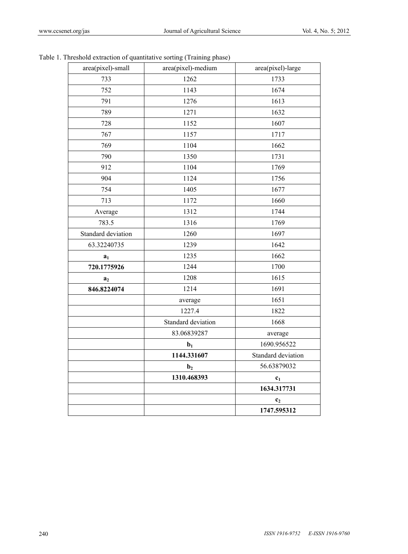|                    |                    | 1747.595312        |
|--------------------|--------------------|--------------------|
|                    |                    | c <sub>2</sub>     |
|                    |                    | 1634.317731        |
|                    | 1310.468393        | c <sub>1</sub>     |
|                    | $\mathbf{b}_2$     | 56.63879032        |
|                    | 1144.331607        | Standard deviation |
|                    | $b1$               | 1690.956522        |
|                    | 83.06839287        | average            |
|                    | Standard deviation | 1668               |
|                    | 1227.4             | 1822               |
|                    | average            | 1651               |
| 846.8224074        | 1214               | 1691               |
| a <sub>2</sub>     | 1208               | 1615               |
| 720.1775926        | 1244               | 1700               |
| a <sub>1</sub>     | 1235               | 1662               |
| 63.32240735        | 1239               | 1642               |
| Standard deviation | 1260               | 1697               |
| 783.5              | 1316               | 1769               |
| Average            | 1312               | 1744               |
| 713                | 1172               | 1660               |
| 754                | 1405               | 1677               |
| 904                | 1124               | 1756               |
| 912                | 1104               | 1769               |
| 790                | 1350               | 1731               |
| 769                | 1104               | 1662               |
| 767                | 1157               | 1717               |
| 728                | 1152               | 1607               |
| 789                | 1271               | 1632               |
| 791                | 1276               | 1613               |
| 752                | 1143               | 1674               |
| 733                | 1262               | 1733               |

Table 1. Threshold extraction of quantitative sorting (Training phase)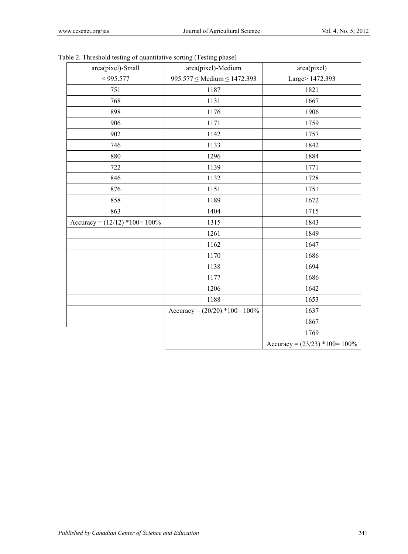| area(pixel)-Small<br>area(pixel)-Medium<br>area(pixel)<br>Large> 1472.393<br>$995.577 \leq Median \leq 1472.393$<br>< 995.577<br>1187<br>1821<br>751<br>1667<br>768<br>1131<br>898<br>1176<br>1906<br>906<br>1171<br>1759<br>902<br>1142<br>1757<br>746<br>1842<br>1133<br>880<br>1296<br>1884<br>722<br>1139<br>1771<br>846<br>1132<br>1728<br>876<br>1151<br>1751<br>1189<br>858<br>1672<br>863<br>1404<br>1715<br>Accuracy = $(12/12)$ *100= 100%<br>1315<br>1843<br>1261<br>1849<br>1162<br>1647<br>1686<br>1170<br>1694<br>1138<br>1686<br>1177 |  |
|------------------------------------------------------------------------------------------------------------------------------------------------------------------------------------------------------------------------------------------------------------------------------------------------------------------------------------------------------------------------------------------------------------------------------------------------------------------------------------------------------------------------------------------------------|--|
|                                                                                                                                                                                                                                                                                                                                                                                                                                                                                                                                                      |  |
|                                                                                                                                                                                                                                                                                                                                                                                                                                                                                                                                                      |  |
|                                                                                                                                                                                                                                                                                                                                                                                                                                                                                                                                                      |  |
|                                                                                                                                                                                                                                                                                                                                                                                                                                                                                                                                                      |  |
|                                                                                                                                                                                                                                                                                                                                                                                                                                                                                                                                                      |  |
|                                                                                                                                                                                                                                                                                                                                                                                                                                                                                                                                                      |  |
|                                                                                                                                                                                                                                                                                                                                                                                                                                                                                                                                                      |  |
|                                                                                                                                                                                                                                                                                                                                                                                                                                                                                                                                                      |  |
|                                                                                                                                                                                                                                                                                                                                                                                                                                                                                                                                                      |  |
|                                                                                                                                                                                                                                                                                                                                                                                                                                                                                                                                                      |  |
|                                                                                                                                                                                                                                                                                                                                                                                                                                                                                                                                                      |  |
|                                                                                                                                                                                                                                                                                                                                                                                                                                                                                                                                                      |  |
|                                                                                                                                                                                                                                                                                                                                                                                                                                                                                                                                                      |  |
|                                                                                                                                                                                                                                                                                                                                                                                                                                                                                                                                                      |  |
|                                                                                                                                                                                                                                                                                                                                                                                                                                                                                                                                                      |  |
|                                                                                                                                                                                                                                                                                                                                                                                                                                                                                                                                                      |  |
|                                                                                                                                                                                                                                                                                                                                                                                                                                                                                                                                                      |  |
|                                                                                                                                                                                                                                                                                                                                                                                                                                                                                                                                                      |  |
|                                                                                                                                                                                                                                                                                                                                                                                                                                                                                                                                                      |  |
|                                                                                                                                                                                                                                                                                                                                                                                                                                                                                                                                                      |  |
| 1206<br>1642                                                                                                                                                                                                                                                                                                                                                                                                                                                                                                                                         |  |
| 1188<br>1653                                                                                                                                                                                                                                                                                                                                                                                                                                                                                                                                         |  |
| Accuracy = $(20/20)$ *100= 100%<br>1637                                                                                                                                                                                                                                                                                                                                                                                                                                                                                                              |  |
| 1867                                                                                                                                                                                                                                                                                                                                                                                                                                                                                                                                                 |  |
| 1769                                                                                                                                                                                                                                                                                                                                                                                                                                                                                                                                                 |  |
| Accuracy = $(23/23)$ *100= 100%                                                                                                                                                                                                                                                                                                                                                                                                                                                                                                                      |  |

Table 2. Threshold testing of quantitative sorting (Testing phase)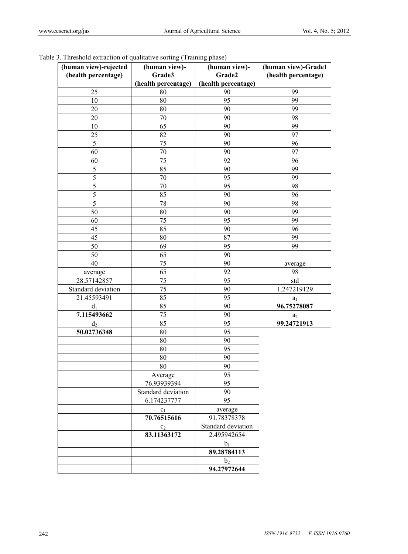| (human view)-rejected<br>(health percentage) | (human view)-<br>Grade3 | (human view)-<br>Grade2 | (human view)-Grade1<br>(health percentage) |
|----------------------------------------------|-------------------------|-------------------------|--------------------------------------------|
|                                              | (health percentage)     | (health percentage)     |                                            |
| 25                                           | $80\,$                  | 90                      | 99                                         |
| 10                                           | 80                      | 95                      | 99                                         |
| 20                                           | 80                      | 90                      | 99                                         |
| 20                                           | 70                      | 90                      | 98                                         |
| 10                                           | 65                      | 90                      | 99                                         |
| 25                                           | 82                      | 90                      | 97                                         |
| $\mathfrak s$                                | 75                      | 90                      | 96                                         |
| 60                                           | 70                      | 90                      | 97                                         |
| 60                                           | 75                      | 92                      | 96                                         |
| $\mathfrak s$                                | 85                      | 90                      | 99                                         |
| $\overline{5}$                               | 70                      | 95                      | 99                                         |
| 5                                            | $70\,$                  | 95                      | 98                                         |
| 5                                            | 85                      | 90                      | 96                                         |
| 5                                            | 78                      | 90                      | 98                                         |
| 50                                           | 80                      | 90                      | 99                                         |
| 60                                           | 75                      | 95                      | 99                                         |
| 45                                           | 85                      | 90                      | 96                                         |
| 45                                           | 80                      | 87                      | 99                                         |
| 50                                           | 69                      | 95                      | 99                                         |
| 50                                           | 65                      | 90                      |                                            |
| 40                                           | 75                      | 90                      | average                                    |
| average                                      | 65                      | 92                      | 98                                         |
| 28.57142857                                  | 75                      | 95                      | std                                        |
| Standard deviation                           | 75                      | 90                      | 1.247219129                                |
| 21.45593491                                  | 85                      | 95                      | $a_1$                                      |
| d <sub>1</sub>                               | 85                      | 90                      | 96.75278087                                |
| 7.115493662                                  | 75                      | 90                      | $\mathbf{a}_2$                             |
| d <sub>2</sub>                               | 85                      | 95                      | 99.24721913                                |
| 50.02736348                                  | 80                      | 95                      |                                            |
|                                              | 80                      | 90                      |                                            |
|                                              | 80                      | 95                      |                                            |
|                                              | 80                      | 90                      |                                            |
|                                              | $80\,$                  | 90                      |                                            |
|                                              | Average                 | 95                      |                                            |
|                                              | 76.93939394             | 95                      |                                            |
|                                              | Standard deviation      | 90                      |                                            |
|                                              | 6.174237777             | 95                      |                                            |
|                                              | $c_1$                   | average                 |                                            |
|                                              | 70.76515616             | 91.78378378             |                                            |
|                                              | c <sub>2</sub>          | Standard deviation      |                                            |
|                                              | 83.11363172             | 2.495942654             |                                            |
|                                              |                         | $b_1$                   |                                            |
|                                              |                         | 89.28784113             |                                            |
|                                              |                         | b <sub>2</sub>          |                                            |
|                                              |                         | 94.27972644             |                                            |

## Table 3. Threshold extraction of qualitative sorting (Training phase)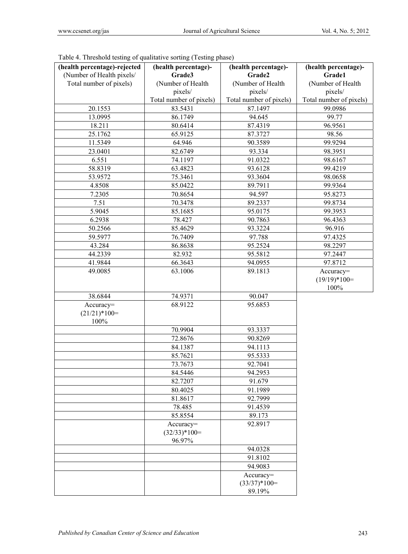| (health percentage)-rejected | (health percentage)-    | (health percentage)-    | (health percentage)-    |
|------------------------------|-------------------------|-------------------------|-------------------------|
| (Number of Health pixels/    | Grade3                  | Grade2                  | Grade1                  |
| Total number of pixels)      | (Number of Health       | (Number of Health       | (Number of Health       |
|                              | pixels/                 | pixels/                 | pixels/                 |
|                              | Total number of pixels) | Total number of pixels) | Total number of pixels) |
| 20.1553                      | 83.5431                 | 87.1497                 | 99.0986                 |
| 13.0995                      | 86.1749                 | 94.645                  | 99.77                   |
| 18.211                       | 80.6414                 | 87.4319                 | 96.9561                 |
| 25.1762                      | 65.9125                 | 87.3727                 | 98.56                   |
| 11.5349                      | 64.946                  | 90.3589                 | 99.9294                 |
| 23.0401                      | 82.6749                 | 93.334                  | 98.3951                 |
| 6.551                        | 74.1197                 | 91.0322                 | 98.6167                 |
| 58.8319                      | 63.4823                 | 93.6128                 | 99.4219                 |
| 53.9572                      | 75.3461                 | 93.3604                 | 98.0658                 |
| 4.8508                       | 85.0422                 | 89.7911                 | 99.9364                 |
| 7.2305                       | 70.8654                 | 94.597                  | 95.8273                 |
| 7.51                         | 70.3478                 | 89.2337                 | 99.8734                 |
| 5.9045                       | 85.1685                 | 95.0175                 | 99.3953                 |
| 6.2938                       | 78.427                  | 90.7863                 | 96.4363                 |
| 50.2566                      | 85.4629                 | 93.3224                 | 96.916                  |
| 59.5977                      | 76.7409                 | 97.788                  | 97.4325                 |
| 43.284                       | 86.8638                 | 95.2524                 | 98.2297                 |
| 44.2339                      | 82.932                  | 95.5812                 | 97.2447                 |
| 41.9844                      | 66.3643                 | 94.0955                 | 97.8712                 |
| 49.0085                      | 63.1006                 | 89.1813                 | Accuracy=               |
|                              |                         |                         | $(19/19)*100=$          |
|                              |                         |                         | 100%                    |
| 38.6844                      | 74.9371                 | 90.047                  |                         |
| Accuracy=<br>$(21/21)*100=$  | 68.9122                 | 95.6853                 |                         |
| 100%                         |                         |                         |                         |
|                              | 70.9904                 | 93.3337                 |                         |
|                              | 72.8676                 | 90.8269                 |                         |
|                              | 84.1387                 | 94.1113                 |                         |
|                              | 85.7621                 | 95.5333                 |                         |
|                              | 73.7673                 | 92.7041                 |                         |
|                              | 84.5446                 | 94.2953                 |                         |
|                              | 82.7207                 | 91.679                  |                         |
|                              | 80.4025                 | 91.1989                 |                         |
|                              | 81.8617                 | 92.7999                 |                         |
|                              | 78.485                  | 91.4539                 |                         |
|                              | 85.8554                 | 89.173                  |                         |
|                              | Accuracy=               | 92.8917                 |                         |
|                              | $(32/33)*100=$          |                         |                         |
|                              | 96.97%                  |                         |                         |
|                              |                         | 94.0328                 |                         |
|                              |                         | 91.8102                 |                         |
|                              |                         | 94.9083                 |                         |
|                              |                         | Accuracy=               |                         |
|                              |                         | $(33/37)*100=$          |                         |
|                              |                         | 89.19%                  |                         |

Table 4. Threshold testing of qualitative sorting (Testing phase)